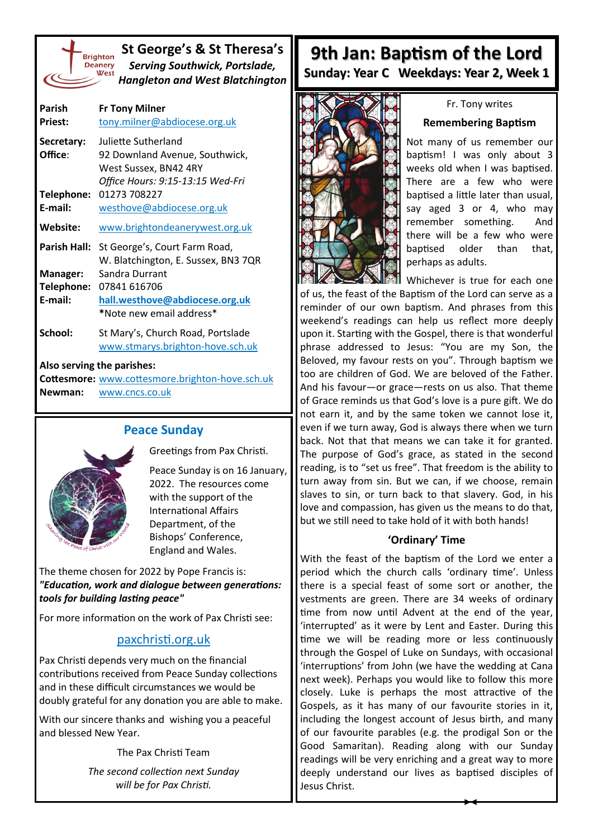

**St George's & St Theresa's** *Serving Southwick, Portslade, Hangleton and West Blatchington*

| Parish<br><b>Priest:</b> | <b>Fr Tony Milner</b><br>tony.milner@abdiocese.org.uk     |
|--------------------------|-----------------------------------------------------------|
| Secretary:               | Juliette Sutherland                                       |
| Office:                  | 92 Downland Avenue, Southwick,                            |
|                          | West Sussex, BN42 4RY<br>Office Hours: 9:15-13:15 Wed-Fri |
| Telephone:               | 01273 708227                                              |
| E-mail:                  | westhove@abdiocese.org.uk                                 |
| Website:                 | www.brightondeanerywest.org.uk                            |
| Parish Hall:             | St George's, Court Farm Road,                             |
|                          | W. Blatchington, E. Sussex, BN3 7QR                       |
| Manager:                 | Sandra Durrant                                            |
| Telephone:               | 07841 616706                                              |
| E-mail:                  | hall.westhove@abdiocese.org.uk                            |
|                          | *Note new email address*                                  |
| School:                  | St Mary's, Church Road, Portslade                         |
|                          | www.stmarys.brighton-hove.sch.uk                          |

#### **Also serving the parishes:**

**Cottesmore:** [www.cottesmore.brighton](http://www.cottesmore.brighton-hove.sch.uk)-hove.sch.uk **Newman:** [www.cncs.co.uk](https://www.cncs.co.uk/)

## **Peace Sunday**



Greetings from Pax Christi.

Peace Sunday is on 16 January, 2022. The resources come with the support of the International Affairs Department, of the Bishops' Conference, England and Wales.

The theme chosen for 2022 by Pope Francis is: *"Education, work and dialogue between generations: tools for building lasting peace"*

For more information on the work of Pax Christi see:

## [paxchristi.org.uk](http://www.paxchristi.org.uk)

Pax Christi depends very much on the financial contributions received from Peace Sunday collections and in these difficult circumstances we would be doubly grateful for any donation you are able to make.

With our sincere thanks and wishing you a peaceful and blessed New Year.

The Pax Christi Team

*The second collection next Sunday will be for Pax Christi.*

# **9th Jan: Baptism of the Lord Sunday: Year C Weekdays: Year 2, Week 1**



### Fr. Tony writes

### **Remembering Baptism**

Not many of us remember our baptism! I was only about 3 weeks old when I was baptised. There are a few who were baptised a little later than usual, say aged 3 or 4, who may remember something. And there will be a few who were baptised older than that, perhaps as adults.

Whichever is true for each one of us, the feast of the Baptism of the Lord can serve as a reminder of our own baptism. And phrases from this weekend's readings can help us reflect more deeply upon it. Starting with the Gospel, there is that wonderful phrase addressed to Jesus: "You are my Son, the Beloved, my favour rests on you". Through baptism we too are children of God. We are beloved of the Father. And his favour—or grace—rests on us also. That theme of Grace reminds us that God's love is a pure gift. We do not earn it, and by the same token we cannot lose it, even if we turn away, God is always there when we turn back. Not that that means we can take it for granted. The purpose of God's grace, as stated in the second reading, is to "set us free". That freedom is the ability to turn away from sin. But we can, if we choose, remain slaves to sin, or turn back to that slavery. God, in his love and compassion, has given us the means to do that, but we still need to take hold of it with both hands!

### **'Ordinary' Time**

With the feast of the baptism of the Lord we enter a period which the church calls 'ordinary time'. Unless there is a special feast of some sort or another, the vestments are green. There are 34 weeks of ordinary time from now until Advent at the end of the year, 'interrupted' as it were by Lent and Easter. During this time we will be reading more or less continuously through the Gospel of Luke on Sundays, with occasional 'interruptions' from John (we have the wedding at Cana next week). Perhaps you would like to follow this more closely. Luke is perhaps the most attractive of the Gospels, as it has many of our favourite stories in it, including the longest account of Jesus birth, and many of our favourite parables (e.g. the prodigal Son or the Good Samaritan). Reading along with our Sunday readings will be very enriching and a great way to more deeply understand our lives as baptised disciples of Jesus Christ.